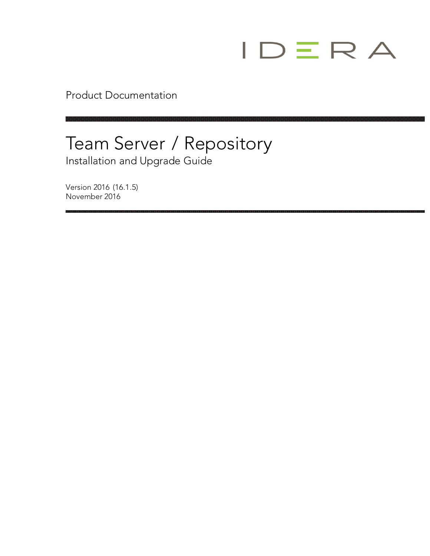

Product Documentation

## Team Server / Repository Installation and Upgrade Guide

Version 2016 (16.1.5) November 2016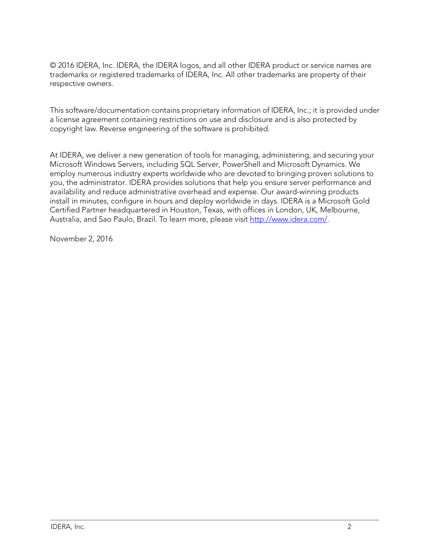© 2016 IDERA, Inc. IDERA, the IDERA logos, and all other IDERA product or service names are trademarks or registered trademarks of IDERA, Inc. All other trademarks are property of their respective owners.

This software/documentation contains proprietary information of IDERA, Inc.; it is provided under a license agreement containing restrictions on use and disclosure and is also protected by copyright law. Reverse engineering of the software is prohibited.

At IDERA, we deliver a new generation of tools for managing, administering, and securing your Microsoft Windows Servers, including SQL Server, PowerShell and Microsoft Dynamics. We employ numerous industry experts worldwide who are devoted to bringing proven solutions to you, the administrator. IDERA provides solutions that help you ensure server performance and availability and reduce administrative overhead and expense. Our award-winning products install in minutes, configure in hours and deploy worldwide in days. IDERA is a Microsoft Gold Certified Partner headquartered in Houston, Texas, with offices in London, UK, Melbourne, Australia, and Sao Paulo, Brazil. To learn more, please visit [http://www.idera.com/.](http://www.idera.com/)

November 2, 2016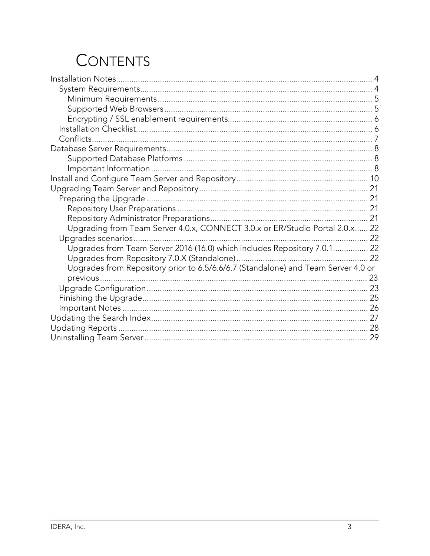## **CONTENTS**

| Upgrading from Team Server 4.0.x, CONNECT 3.0.x or ER/Studio Portal 2.0.x 22      |  |
|-----------------------------------------------------------------------------------|--|
|                                                                                   |  |
| Upgrades from Team Server 2016 (16.0) which includes Repository 7.0.1 22          |  |
|                                                                                   |  |
| Upgrades from Repository prior to 6.5/6.6/6.7 (Standalone) and Team Server 4.0 or |  |
|                                                                                   |  |
|                                                                                   |  |
|                                                                                   |  |
|                                                                                   |  |
|                                                                                   |  |
|                                                                                   |  |
|                                                                                   |  |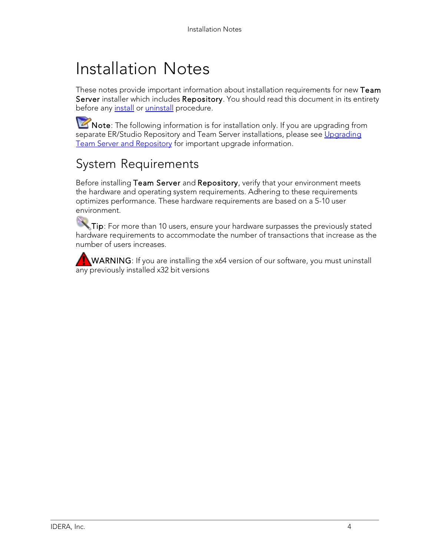## Installation Notes

These notes provide important information about installation requirements for new Team Server installer which includes Repository. You should read this document in its entirety before any [install](http://docwiki.embarcadero.com/TeamServer/ERStudio/2016/en/Install_and_Configure_Team_Server_and_Repository) or [uninstall](http://docwiki.embarcadero.com/TeamServer/ERStudio/2016/en/Uninstalling_Team_Server) procedure.

Note: The following information is for installation only. If you are upgrading from separate ER/Studio Repository and Team Server installations, please see [Upgrading](http://docwiki.embarcadero.com/TeamServer/ERStudio/2016/en/Upgrading_Team_Server_and_Repository) Team Server [and Repository](http://docwiki.embarcadero.com/TeamServer/ERStudio/2016/en/Upgrading_Team_Server_and_Repository) for important upgrade information.

## System Requirements

Before installing Team Server and Repository, verify that your environment meets the hardware and operating system requirements. Adhering to these requirements optimizes performance. These hardware requirements are based on a 5-10 user environment.

Tip: For more than 10 users, ensure your hardware surpasses the previously stated hardware requirements to accommodate the number of transactions that increase as the number of users increases.

WARNING: If you are installing the x64 version of our software, you must uninstall any previously installed x32 bit versions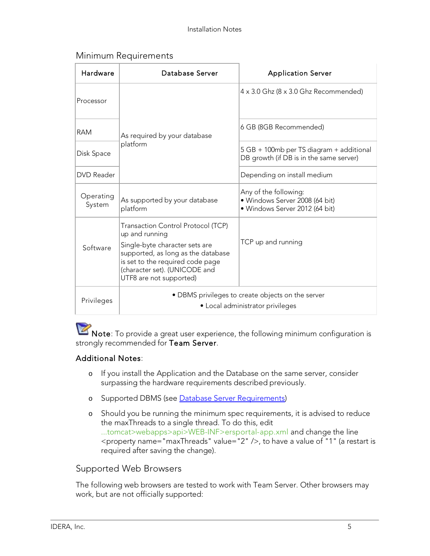#### Minimum Requirements

| Hardware            | Database Server                                                                                                                                                                                                              | <b>Application Server</b>                                                                 |
|---------------------|------------------------------------------------------------------------------------------------------------------------------------------------------------------------------------------------------------------------------|-------------------------------------------------------------------------------------------|
| Processor           |                                                                                                                                                                                                                              | 4 x 3.0 Ghz (8 x 3.0 Ghz Recommended)                                                     |
| <b>RAM</b>          | As required by your database                                                                                                                                                                                                 | 6 GB (8GB Recommended)                                                                    |
| Disk Space          | platform                                                                                                                                                                                                                     | 5 GB + 100mb per TS diagram + additional<br>DB growth (if DB is in the same server)       |
| <b>DVD</b> Reader   |                                                                                                                                                                                                                              | Depending on install medium                                                               |
| Operating<br>System | As supported by your database<br>platform                                                                                                                                                                                    | Any of the following:<br>· Windows Server 2008 (64 bit)<br>· Windows Server 2012 (64 bit) |
| Software            | Transaction Control Protocol (TCP)<br>up and running<br>Single-byte character sets are<br>supported, as long as the database<br>is set to the required code page<br>(character set). (UNICODE and<br>UTF8 are not supported) | TCP up and running                                                                        |
| Privileges          |                                                                                                                                                                                                                              | • DBMS privileges to create objects on the server<br>• Local administrator privileges     |

Note: To provide a great user experience, the following minimum configuration is strongly recommended for Team Server.

#### Additional Notes:

- o If you install the Application and the Database on the same server, consider surpassing the hardware requirements described previously.
- o Supported DBMS (see Database Server [Requirements\)](http://docwiki.embarcadero.com/TeamServer/ERStudio/2016/en/Database_Server_Requirements)
- o Should you be running the minimum spec requirements, it is advised to reduce the maxThreads to a single thread. To do this, edit ...tomcat>webapps>api>WEB-INF>ersportal-app.xml and change the line <property name="maxThreads" value="2" />, to have a value of "1" (a restart is required after saving the change).

#### Supported Web Browsers

The following web browsers are tested to work with Team Server. Other browsers may work, but are not officially supported: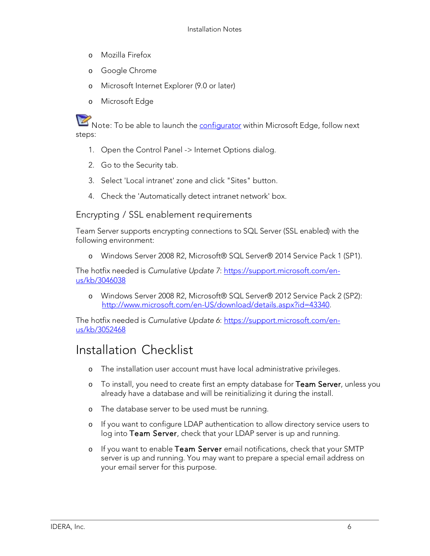- o Mozilla Firefox
- o Google Chrome
- o Microsoft Internet Explorer (9.0 or later)
- o Microsoft Edge

Note: To be able to launch the **configurator** within Microsoft Edge, follow next steps:

- 1. Open the Control Panel -> Internet Options dialog.
- 2. Go to the Security tab.
- 3. Select 'Local intranet' zone and click "Sites" button.
- 4. Check the 'Automatically detect intranet network' box.

Encrypting / SSL enablement requirements

Team Server supports encrypting connections to SQL Server (SSL enabled) with the following environment:

o Windows Server 2008 R2, Microsoft® SQL Server® 2014 Service Pack 1 (SP1).

The hotfix needed is *Cumulative Update 7*: [https://support.microsoft.com/en](https://support.microsoft.com/en-us/kb/3046038)[us/kb/3046038](https://support.microsoft.com/en-us/kb/3046038)

o Windows Server 2008 R2, Microsoft® SQL Server® 2012 Service Pack 2 (SP2): [http://www.microsoft.com/en-US/download/details.aspx?id=43340.](http://www.microsoft.com/en-US/download/details.aspx?id=43340)

The hotfix needed is *Cumulative Update 6*: [https://support.microsoft.com/en](https://support.microsoft.com/en-us/kb/3052468)[us/kb/3052468](https://support.microsoft.com/en-us/kb/3052468)

### Installation Checklist

- o The installation user account must have local administrative privileges.
- o To install, you need to create first an empty database for Team Server, unless you already have a database and will be reinitializing it during the install.
- o The database server to be used must be running.
- o If you want to configure LDAP authentication to allow directory service users to log into Team Server, check that your LDAP server is up and running.
- o If you want to enable Team Server email notifications, check that your SMTP server is up and running. You may want to prepare a special email address on your email server for this purpose.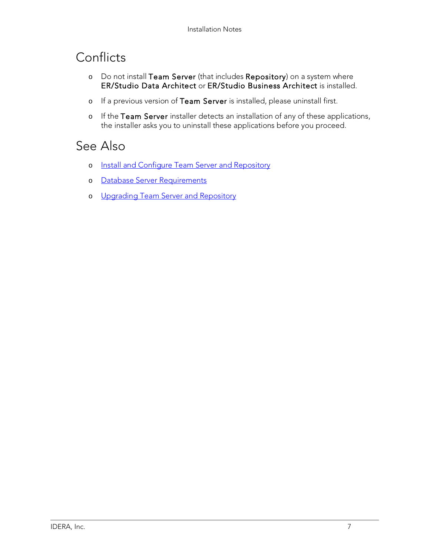## Conflicts

- o Do not install Team Server (that includes Repository) on a system where ER/Studio Data Architect or ER/Studio Business Architect is installed.
- o If a previous version of Team Server is installed, please uninstall first.
- o If the Team Server installer detects an installation of any of these applications, the installer asks you to uninstall these applications before you proceed.

- o Install and Configure Team Server and [Repository](http://docwiki.embarcadero.com/TeamServer/ERStudio/2016/en/Install_and_Configure_Team_Server_and_Repository)
- o Database Server [Requirements](http://docwiki.embarcadero.com/TeamServer/ERStudio/2016/en/Database_Server_Requirements)
- o [Upgrading Team](http://docwiki.embarcadero.com/TeamServer/ERStudio/2016/en/Upgrading_Team_Server_and_Repository) Server and Repository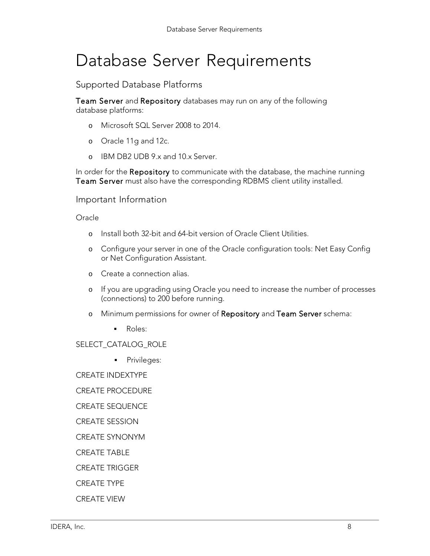## Database Server Requirements

Supported Database Platforms

Team Server and Repository databases may run on any of the following database platforms:

- o Microsoft SQL Server 2008 to 2014.
- o Oracle 11g and 12c.
- o IBM DB2 UDB 9.x and 10.x Server.

In order for the Repository to communicate with the database, the machine running Team Server must also have the corresponding RDBMS client utility installed.

Important Information

**Oracle** 

- o Install both 32-bit and 64-bit version of Oracle Client Utilities.
- o Configure your server in one of the Oracle configuration tools: Net Easy Config or Net Configuration Assistant.
- o Create a connection alias.
- o If you are upgrading using Oracle you need to increase the number of processes (connections) to 200 before running.
- o Minimum permissions for owner of Repository and Team Server schema:
	- **Roles:**

#### SELECT\_CATALOG\_ROLE

**Privileges:** 

CREATE INDEXTYPE

CREATE PROCEDURE

CREATE SEQUENCE

CREATE SESSION

CREATE SYNONYM

CREATE TABLE

CREATE TRIGGER

CREATE TYPE

CREATE VIEW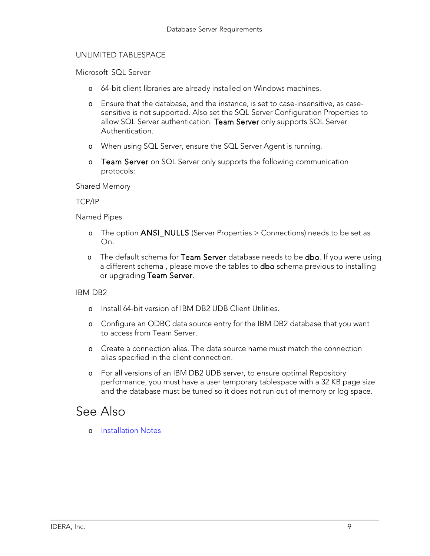#### UNLIMITED TABLESPACE

Microsoft SQL Server

- o 64-bit client libraries are already installed on Windows machines.
- o Ensure that the database, and the instance, is set to case-insensitive, as casesensitive is not supported. Also set the SQL Server Configuration Properties to allow SQL Server authentication. Team Server only supports SQL Server Authentication.
- o When using SQL Server, ensure the SQL Server Agent is running.
- o Team Server on SQL Server only supports the following communication protocols:

Shared Memory

#### TCP/IP

Named Pipes

- o The option ANSI\_NULLS (Server Properties > Connections) needs to be set as On.
- o The default schema for Team Server database needs to be dbo. If you were using a different schema, please move the tables to **dbo** schema previous to installing or upgrading Team Server.

#### IBM DB2

- o Install 64-bit version of IBM DB2 UDB Client Utilities.
- o Configure an ODBC data source entry for the IBM DB2 database that you want to access from Team Server.
- o Create a connection alias. The data source name must match the connection alias specified in the client connection.
- o For all versions of an IBM DB2 UDB server, to ensure optimal Repository performance, you must have a user temporary tablespace with a 32 KB page size and the database must be tuned so it does not run out of memory or log space.

### See Also

o [Installation](http://docwiki.embarcadero.com/TeamServer/ERStudio/2016/en/Installation_Notes) Notes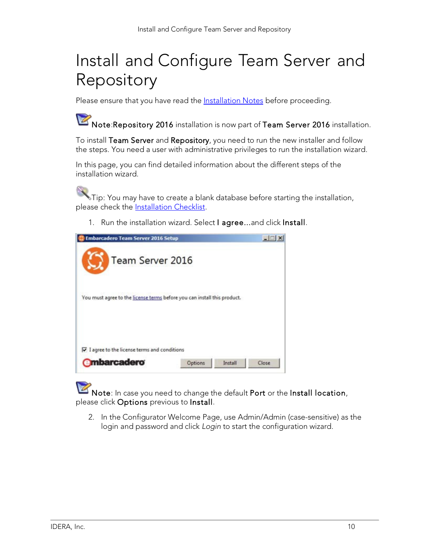# Install and Configure Team Server and Repository

Please ensure that you have read the **Installation Notes** before proceeding.

Note:Repository 2016 installation is now part of Team Server 2016 installation.

To install Team Server and Repository, you need to run the new installer and follow the steps. You need a user with administrative privileges to run the installation wizard.

In this page, you can find detailed information about the different steps of the installation wizard.

Tip: You may have to create a blank database before starting the installation, please check the [Installation](http://docwiki.embarcadero.com/TeamServer/ERStudio/2016/en/Installation_Notes#Installation_Checklist) Checklist.

1. Run the installation wizard. Select I agree...and click Install.



Note: In case you need to change the default Port or the Install location, please click Options previous to Install.

2. In the Configurator Welcome Page, use Admin/Admin (case-sensitive) as the login and password and click *Login* to start the configuration wizard.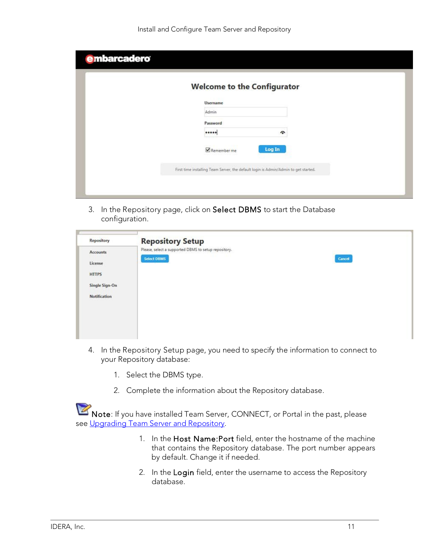| <b>Username</b><br>Admin<br>Password | <b>Welcome to the Configurator</b> |                     |  |
|--------------------------------------|------------------------------------|---------------------|--|
|                                      |                                    |                     |  |
|                                      |                                    |                     |  |
|                                      |                                    |                     |  |
|                                      |                                    | $\hat{\phantom{a}}$ |  |
| Log In<br>Remember me                |                                    |                     |  |

3. In the Repository page, click on Select DBMS to start the Database configuration.

| Repository                                | <b>Repository Setup</b>                              |        |
|-------------------------------------------|------------------------------------------------------|--------|
| Accounts                                  | Please, select a supported DBMS to setup repository. |        |
| License                                   | <b>Select DBMS</b>                                   | Cancel |
| <b>HTTPS</b>                              |                                                      |        |
| Single Sign-On                            |                                                      |        |
| <b>Notification</b><br>,,,,,,,,,,,,,,,,,, |                                                      |        |
|                                           |                                                      |        |
|                                           |                                                      |        |
|                                           |                                                      |        |
|                                           |                                                      |        |

- 4. In the Repository Setup page, you need to specify the information to connect to your Repository database:
	- 1. Select the DBMS type.
	- 2. Complete the information about the Repository database.

Note: If you have installed Team Server, CONNECT, or Portal in the past, please see [Upgrading](http://docwiki.embarcadero.com/TeamServer/ERStudio/2016/en/Upgrading_Team_Server_and_Repository) Team Server and Repository.

- 1. In the Host Name:Port field, enter the hostname of the machine that contains the Repository database. The port number appears by default. Change it if needed.
- 2. In the Login field, enter the username to access the Repository database.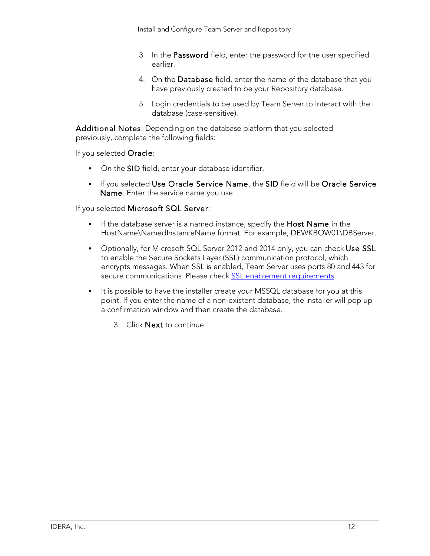- 3. In the Password field, enter the password for the user specified earlier.
- 4. On the Database field, enter the name of the database that you have previously created to be your Repository database.
- 5. Login credentials to be used by Team Server to interact with the database (case-sensitive).

Additional Notes: Depending on the database platform that you selected previously, complete the following fields:

If you selected Oracle:

- On the SID field, enter your database identifier.
- **If you selected Use Oracle Service Name, the SID field will be Oracle Service** Name. Enter the service name you use.

If you selected Microsoft SQL Server:

- If the database server is a named instance, specify the Host Name in the HostName\NamedInstanceName format. For example, DEWKBOW01\DBServer.
- Optionally, for Microsoft SQL Server 2012 and 2014 only, you can check Use SSL to enable the Secure Sockets Layer (SSL) communication protocol, which encrypts messages. When SSL is enabled, Team Server uses ports 80 and 443 for secure communications. Please check SSL enablement [requirements.](http://docwiki.embarcadero.com/TeamServer/ERStudio/2016/en/Installation_Notes#Encrypting_.2F_SSL_enablement_requirements)
- It is possible to have the installer create your MSSQL database for you at this point. If you enter the name of a non-existent database, the installer will pop up a confirmation window and then create the database.
	- 3. Click Next to continue.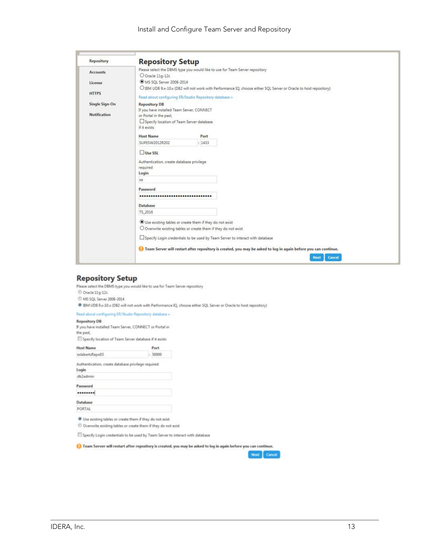| Repository          | <b>Repository Setup</b>                                                  |        |                                                                                                                   |
|---------------------|--------------------------------------------------------------------------|--------|-------------------------------------------------------------------------------------------------------------------|
| <b>Accounts</b>     |                                                                          |        | Please select the DBMS type you would like to use for Team Server repository                                      |
|                     | O Oracle 11g-12c                                                         |        |                                                                                                                   |
| License             | MS SQL Server 2008-2014                                                  |        | O IBM UDB 9.x-10.x (DB2 will not work with Performance IQ, choose either SQL Server or Oracle to host repository) |
| <b>HTTPS</b>        |                                                                          |        |                                                                                                                   |
|                     | Read about configuring ER/Studio Repository database »                   |        |                                                                                                                   |
| Single Sign-On      | <b>Repository DB</b>                                                     |        |                                                                                                                   |
| <b>Notification</b> | If you have installed Team Server, CONNECT                               |        |                                                                                                                   |
|                     | or Portal in the past,                                                   |        |                                                                                                                   |
|                     | Specify location of Team Server database<br>if it exists                 |        |                                                                                                                   |
|                     |                                                                          |        |                                                                                                                   |
|                     | <b>Host Name</b>                                                         | Port   |                                                                                                                   |
|                     | SUPESW2012R202                                                           | : 1433 |                                                                                                                   |
|                     | Use SSL                                                                  |        |                                                                                                                   |
|                     | Authentication, create database privilege                                |        |                                                                                                                   |
|                     | <i>required</i>                                                          |        |                                                                                                                   |
|                     | Login                                                                    |        |                                                                                                                   |
|                     | sa                                                                       |        |                                                                                                                   |
|                     | Password                                                                 |        |                                                                                                                   |
|                     |                                                                          |        |                                                                                                                   |
|                     | <b>Database</b>                                                          |        |                                                                                                                   |
|                     | TS_2016                                                                  |        |                                                                                                                   |
|                     | Use existing tables or create them if they do not exist                  |        |                                                                                                                   |
|                     | $\bigcirc$ Overwrite existing tables or create them if they do not exist |        |                                                                                                                   |
|                     |                                                                          |        | Specify Login credentials to be used by Team Server to interact with database                                     |
|                     |                                                                          |        |                                                                                                                   |
|                     |                                                                          |        | Team Server will restart after repository is created, you may be asked to log in again before you can continue.   |
|                     |                                                                          |        | Cancel<br><b>Next</b>                                                                                             |

#### **Repository Setup**

Please select the DBMS type you would like to use for Team Server repository

- $\ensuremath{\mathcal{O}}$ Oracle 11g-12c
- C MS SQL Server 2008-2014

BM UDB 9.x-10.x (DB2 will not work with Performance IQ, choose either SQL Server or Oracle to host repository)

#### Read about configuring ER/Studio Repository database =

#### **Repository DB**

If you have installed Team Server, CONNECT or Portal in<br>the past,

Specify location of Team Server database if it exists

| <b>Host Name</b>                                    | Port       |
|-----------------------------------------------------|------------|
| eslabertsRepo03                                     | 50000<br>Ŀ |
| Authentication, create database privilege required. |            |
| Login                                               |            |
| db2admin                                            |            |
| Password                                            |            |
|                                                     |            |
| Database                                            |            |
| PORTAL                                              |            |

C Overwrite existing tables or create them if they do not exist

Specify Login credentials to be used by Team Server to interact with database

Team Server will restart after repository is created, you may be asked to log in again before you can continue.

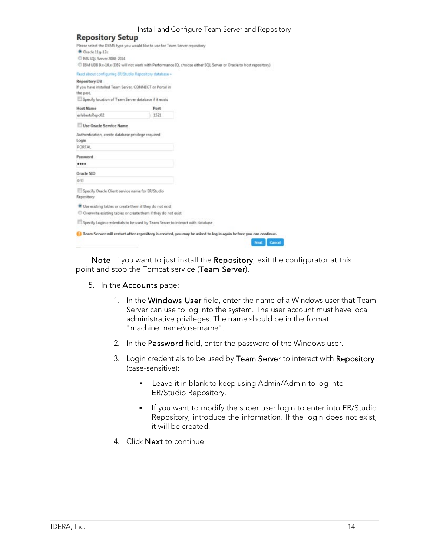|                                                                      |                                                                              | Install and Configure Team Server and Repository                                                                  |
|----------------------------------------------------------------------|------------------------------------------------------------------------------|-------------------------------------------------------------------------------------------------------------------|
| <b>Repository Setup</b>                                              |                                                                              |                                                                                                                   |
|                                                                      | Please select the DBMS type you would like to use for Team Server repository |                                                                                                                   |
| Oracle 11g-12c                                                       |                                                                              |                                                                                                                   |
| MS SQL Server 2008-2014                                              |                                                                              |                                                                                                                   |
|                                                                      |                                                                              | C IBM UDB 9.x-10.x (DB2 will not work with Performance IQ, choose either SQL Server or Oracle to host repository) |
| Read about configuring ER/Studio Repository database »               |                                                                              |                                                                                                                   |
| <b>Repository DB</b>                                                 |                                                                              |                                                                                                                   |
| If you have installed Team Server, CONNECT or Portal in              |                                                                              |                                                                                                                   |
| the past.                                                            |                                                                              |                                                                                                                   |
| Specify location of Team Server database if it exists                |                                                                              |                                                                                                                   |
| <b>Host Name</b>                                                     | Port                                                                         |                                                                                                                   |
| eslabertsRepo02                                                      | : 1521                                                                       |                                                                                                                   |
| Use Oracle Service Name                                              |                                                                              |                                                                                                                   |
| Authentication, create database privilege required                   |                                                                              |                                                                                                                   |
| Login                                                                |                                                                              |                                                                                                                   |
| PORTAL                                                               |                                                                              |                                                                                                                   |
| Password                                                             |                                                                              |                                                                                                                   |
|                                                                      |                                                                              |                                                                                                                   |
| Oracle SID                                                           |                                                                              |                                                                                                                   |
| orcl                                                                 |                                                                              |                                                                                                                   |
| Specify Oracle Client service name for ER/Studio                     |                                                                              |                                                                                                                   |
| Repository                                                           |                                                                              |                                                                                                                   |
| <sup>9</sup> Use existing tables or create them if they do not exist |                                                                              |                                                                                                                   |
|                                                                      | C Overwrite existing tables or create them if they do not exist              |                                                                                                                   |
|                                                                      |                                                                              |                                                                                                                   |

Specify Login credentials to be used by Team Server to interact with database

| Team Server will restart after repository is created, you may be asked to log in again before you can continue. |             |
|-----------------------------------------------------------------------------------------------------------------|-------------|
|                                                                                                                 | Next Cancel |

Note: If you want to just install the Repository, exit the configurator at this point and stop the Tomcat service (Team Server).

- 5. In the Accounts page:
	- 1. In the Windows User field, enter the name of a Windows user that Team Server can use to log into the system. The user account must have local administrative privileges. The name should be in the format "machine\_name\username".
	- 2. In the Password field, enter the password of the Windows user.
	- 3. Login credentials to be used by Team Server to interact with Repository (case-sensitive):
		- **EXEC** Leave it in blank to keep using Admin/Admin to log into ER/Studio Repository.
		- **If you want to modify the super user login to enter into ER/Studio** Repository, introduce the information. If the login does not exist, it will be created.
	- 4. Click **Next** to continue.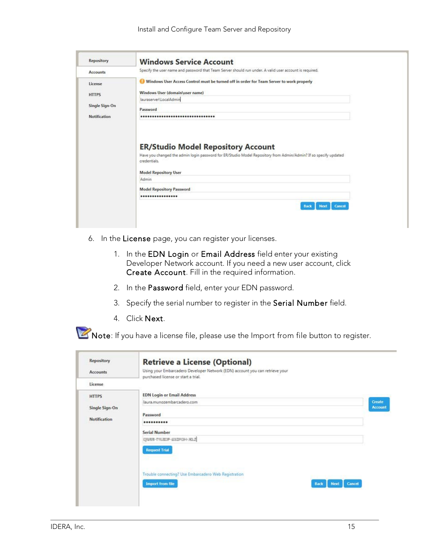| <b>Repository</b>   | <b>Windows Service Account</b>                                                                                                                                   |
|---------------------|------------------------------------------------------------------------------------------------------------------------------------------------------------------|
| <b>Accounts</b>     | Specify the user name and password that Team Server should run under. A valid user account is required.                                                          |
| License             | Windows User Access Control must be turned off in order for Team Server to work properly                                                                         |
| <b>HTTPS</b>        | Windows User (domain\user name)                                                                                                                                  |
|                     | lauraserver\LocalAdmin                                                                                                                                           |
| Single Sign-On      | Password                                                                                                                                                         |
|                     |                                                                                                                                                                  |
| <b>Notification</b> | ********************************<br><b>ER/Studio Model Repository Account</b>                                                                                    |
|                     | Have you changed the admin login password for ER/Studio Model Repository from Admin/Admin? If so specify updated<br>credentials.<br><b>Model Repository User</b> |
|                     | Admin                                                                                                                                                            |
|                     | <b>Model Repository Password</b>                                                                                                                                 |
|                     | ****************                                                                                                                                                 |
|                     | <b>Cancel</b><br><b>Next</b><br><b>Back</b>                                                                                                                      |

- 6. In the License page, you can register your licenses.
	- 1. In the EDN Login or Email Address field enter your existing Developer Network account. If you need a new user account, click Create Account. Fill in the required information.
	- 2. In the Password field, enter your EDN password.
	- 3. Specify the serial number to register in the Serial Number field.
	- 4. Click Next.

Note: If you have a license file, please use the Import from file button to register.

| Using your Embarcadero Developer Network (EDN) account you can retrieve your<br>purchased license or start a trial. |                |
|---------------------------------------------------------------------------------------------------------------------|----------------|
|                                                                                                                     |                |
|                                                                                                                     |                |
| <b>EDN Login or Email Address</b>                                                                                   |                |
| laura.munozembarcadero.com                                                                                          | Create         |
|                                                                                                                     | <b>Account</b> |
| **********                                                                                                          |                |
| <b>Serial Number</b>                                                                                                |                |
| QUEE-TILIDE-232POH-RL2                                                                                              |                |
| <b>Request Trial</b>                                                                                                |                |
|                                                                                                                     |                |
| Trouble connecting? Use Embarcadero Web Registration                                                                |                |
| <b>Import from file</b><br>Cancel<br><b>Next</b><br><b>Back</b>                                                     |                |
|                                                                                                                     | Password       |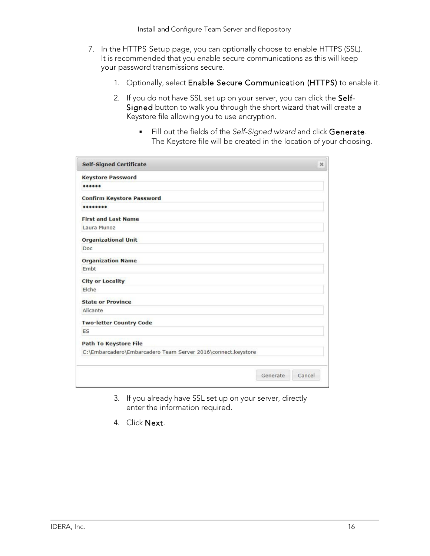- 7. In the HTTPS Setup page, you can optionally choose to enable HTTPS (SSL). It is recommended that you enable secure communications as this will keep your password transmissions secure.
	- 1. Optionally, select Enable Secure Communication (HTTPS) to enable it.
	- 2. If you do not have SSL set up on your server, you can click the Self-Signed button to walk you through the short wizard that will create a Keystore file allowing you to use encryption.
		- Fill out the fields of the *Self-Signed wizard* and click Generate. The Keystore file will be created in the location of your choosing.

| <b>Self-Signed Certificate</b>                               |          | $\mathcal{H}$ |
|--------------------------------------------------------------|----------|---------------|
| <b>Keystore Password</b>                                     |          |               |
| 000000                                                       |          |               |
| <b>Confirm Keystore Password</b>                             |          |               |
|                                                              |          |               |
| <b>First and Last Name</b>                                   |          |               |
| Laura Munoz                                                  |          |               |
| <b>Organizational Unit</b>                                   |          |               |
| Doc                                                          |          |               |
| <b>Organization Name</b>                                     |          |               |
| Embt                                                         |          |               |
| <b>City or Locality</b>                                      |          |               |
| Elche                                                        |          |               |
| <b>State or Province</b>                                     |          |               |
| Alicante                                                     |          |               |
| <b>Two-letter Country Code</b>                               |          |               |
| ES                                                           |          |               |
| <b>Path To Keystore File</b>                                 |          |               |
| C:\Embarcadero\Embarcadero Team Server 2016\connect.keystore |          |               |
|                                                              |          |               |
|                                                              | Generate | Cancel        |

- 3. If you already have SSL set up on your server, directly enter the information required.
- 4. Click Next.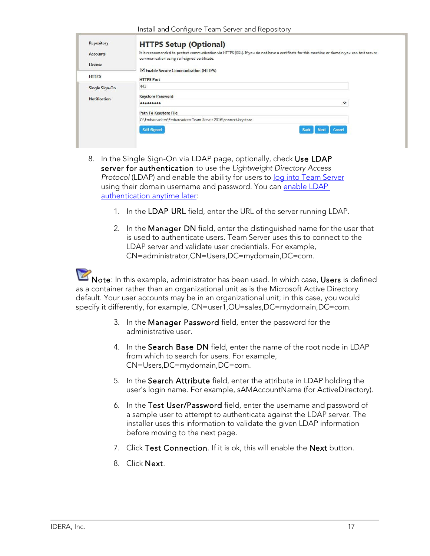| <b>Repository</b>   | <b>HTTPS Setup (Optional)</b>                                                                                                                                                               |
|---------------------|---------------------------------------------------------------------------------------------------------------------------------------------------------------------------------------------|
| <b>Accounts</b>     | It is recommended to protect communication via HTTPS (SSL). If you do not have a certificate for this machine or domain you can test secure<br>communication using self-signed certificate. |
| License             | Enable Secure Communication (HTTPS)                                                                                                                                                         |
| <b>HTTPS</b>        | <b>HTTPS Port</b>                                                                                                                                                                           |
| Single Sign-On      | 443                                                                                                                                                                                         |
| <b>Notification</b> | <b>Keystore Password</b>                                                                                                                                                                    |
|                     | 令<br>                                                                                                                                                                                       |
|                     | <b>Path To Keystore File</b>                                                                                                                                                                |
|                     | C:\Embarcadero\Embarcadero Team Server 2016\connect.keystore                                                                                                                                |
|                     | Self-Signed<br><b>Back</b><br>Cancel<br><b>Next</b>                                                                                                                                         |

- 8. In the Single Sign-On via LDAP page, optionally, check Use LDAP server for authentication to use the *Lightweight Directory Access* Protocol (LDAP) and enable the ability for users to log into Team [Server](http://docwiki.embarcadero.com/TeamServer/ERStudio/2016/en/Connecting_to_Team_Server) using their domain username and password. You can enable LDAP authentication anytime later:
	- 1. In the LDAP URL field, enter the URL of the server running LDAP.
	- 2. In the Manager DN field, enter the distinguished name for the user that is used to authenticate users. Team Server uses this to connect to the LDAP server and validate user credentials. For example, CN=administrator,CN=Users,DC=mydomain,DC=com.

Note: In this example, administrator has been used. In which case, Users is defined as a container rather than an organizational unit as is the Microsoft Active Directory default. Your user accounts may be in an organizational unit; in this case, you would specify it differently, for example, CN=user1,OU=sales,DC=mydomain,DC=com.

- 3. In the Manager Password field, enter the password for the administrative user.
- 4. In the Search Base DN field, enter the name of the root node in LDAP from which to search for users. For example, CN=Users,DC=mydomain,DC=com.
- 5. In the Search Attribute field, enter the attribute in LDAP holding the user's login name. For example, sAMAccountName (for ActiveDirectory).
- 6. In the Test User/Password field, enter the username and password of a sample user to attempt to authenticate against the LDAP server. The installer uses this information to validate the given LDAP information before moving to the next page.
- 7. Click Test Connection. If it is ok, this will enable the Next button.
- 8. Click Next.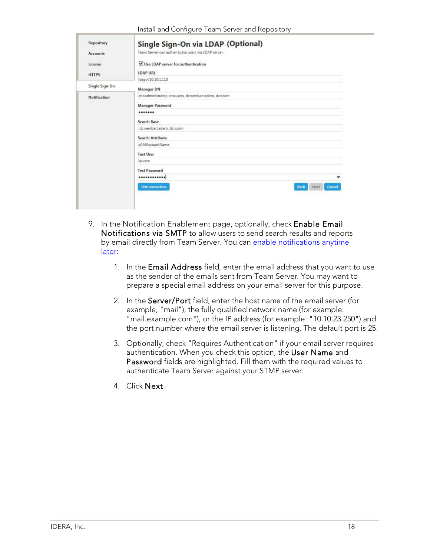| Install and Configure Team Server and Repository |  |  |
|--------------------------------------------------|--|--|
|--------------------------------------------------|--|--|

| Repository          | Single Sign-On via LDAP (Optional)                             |
|---------------------|----------------------------------------------------------------|
| <b>Accounts</b>     | Team Server can authenticate users via LDAP server.            |
| License             | Use LDAP server for authentication                             |
| <b>HTTPS</b>        | <b>LDAP URL</b>                                                |
|                     | Idap://10.10.1.110                                             |
| Single Sign-On      | Manager DN                                                     |
| <b>Notification</b> | cn=administrator, cn=users, dc=embarcadero, dc=com             |
|                     | <b>Manager Password</b>                                        |
|                     |                                                                |
|                     | Search Base                                                    |
|                     | dc=embarcadero, dc=com                                         |
|                     | <b>Search Attribute</b>                                        |
|                     | sAMAccountName                                                 |
|                     | <b>Test User</b>                                               |
|                     | lauram                                                         |
|                     | <b>Test Password</b>                                           |
|                     | <br>$\widehat{\phantom{a}}$                                    |
|                     | <b>Test connection</b><br><b>Back</b><br>Next<br><b>Cancel</b> |
|                     |                                                                |

- 9. In the Notification Enablement page, optionally, check Enable Email Notifications via SMTP to allow users to send search results and reports by email directly from Team Server. You can enable notifications anytime later:
	- 1. In the Email Address field, enter the email address that you want to use as the sender of the emails sent from Team Server. You may want to prepare a special email address on your email server for this purpose.
	- 2. In the Server/Port field, enter the host name of the email server (for example, "mail"), the fully qualified network name (for example: "mail.example.com"), or the IP address (for example: "10.10.23.250") and the port number where the email server is listening. The default port is 25.
	- 3. Optionally, check "Requires Authentication" if your email server requires authentication. When you check this option, the User Name and Password fields are highlighted. Fill them with the required values to authenticate Team Server against your STMP server.
	- 4. Click Next.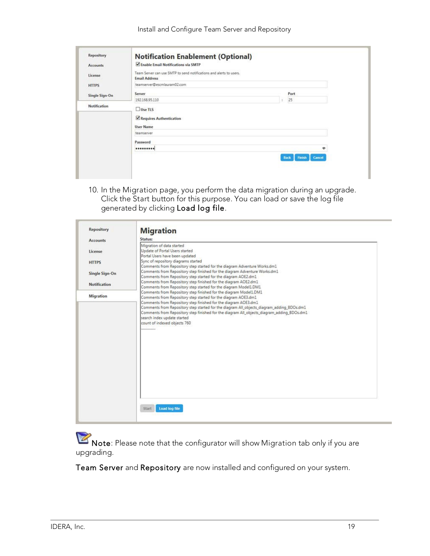| Repository          | <b>Notification Enablement (Optional)</b>                                                   |                                 |  |
|---------------------|---------------------------------------------------------------------------------------------|---------------------------------|--|
| <b>Accounts</b>     | Enable Email Notifications via SMTP                                                         |                                 |  |
| License             | Team Server can use SMTP to send notifications and alerts to users.<br><b>Email Address</b> |                                 |  |
| <b>HTTPS</b>        | teamserver@escmlauram02.com                                                                 |                                 |  |
| Single Sign-On      | <b>Server</b>                                                                               | Port                            |  |
|                     | 192.168.95.110                                                                              | 25                              |  |
| <b>Notification</b> | $\Box$ Use TLS<br>Requires Authentication<br><b>User Name</b>                               |                                 |  |
|                     | teamserver                                                                                  |                                 |  |
|                     | Password                                                                                    |                                 |  |
|                     |                                                                                             | ۰                               |  |
|                     |                                                                                             | <b>Finish</b><br>Cancel<br>Back |  |
|                     |                                                                                             |                                 |  |

10. In the Migration page, you perform the data migration during an upgrade. Click the Start button for this purpose. You can load or save the log file generated by clicking Load log file.

| Repository          | <b>Migration</b>                                                                                                                                             |
|---------------------|--------------------------------------------------------------------------------------------------------------------------------------------------------------|
| <b>Accounts</b>     | Status:                                                                                                                                                      |
| License             | Migration of data started<br>Update of Portal Users started<br>Portal Users have been updated                                                                |
| <b>HTTPS</b>        | Sync of repository diagrams started<br>Comments from Repository step started for the diagram Adventure Works.dm1                                             |
| Single Sign-On      | Comments from Repository step finished for the diagram Adventure Works.dm1<br>Comments from Repository step started for the diagram AOE2.dm1                 |
| <b>Notification</b> | Comments from Repository step finished for the diagram AOE2.dm1<br>Comments from Repository step started for the diagram Model1.DM1                          |
| Migration           | Comments from Repository step finished for the diagram Model1.DM1<br>Comments from Repository step started for the diagram AOE3.dm1                          |
|                     | Comments from Repository step finished for the diagram AOE3.dm1<br>Comments from Repository step started for the diagram All objects_diagram_adding_BDOs.dm1 |
|                     | Comments from Repository step finished for the diagram All_objects_diagram_adding_BDOs.dm1<br>search index update started                                    |
|                     | count of indexed objects 760<br>--------------                                                                                                               |
|                     |                                                                                                                                                              |
|                     |                                                                                                                                                              |
|                     |                                                                                                                                                              |
|                     |                                                                                                                                                              |
|                     |                                                                                                                                                              |
|                     |                                                                                                                                                              |
|                     |                                                                                                                                                              |
|                     | <b>Load log file</b><br>Start                                                                                                                                |

Note: Please note that the configurator will show Migration tab only if you are upgrading.

Team Server and Repository are now installed and configured on your system.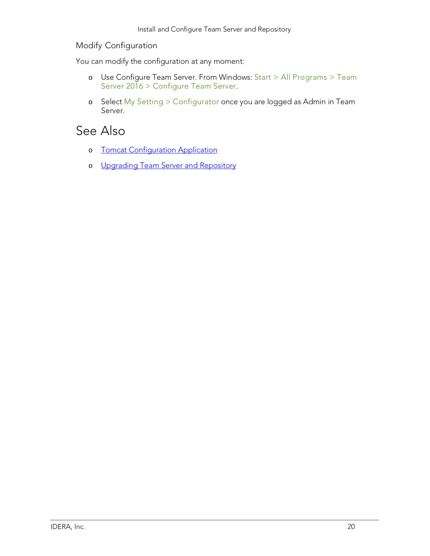#### Modify Configuration

You can modify the configuration at any moment:

- o Use Configure Team Server. From Windows: Start > All Programs > Team Server 2016 > Configure Team Server.
- o Select My Setting > Configurator once you are logged as Admin in Team Server.

- o Tomcat [Configuration](http://docwiki.embarcadero.com/TeamServer/ERStudio/2016/en/Tomcat_Configuration_Application) Application
- o [Upgrading Team](http://docwiki.embarcadero.com/TeamServer/ERStudio/2016/en/Upgrading_Team_Server_and_Repository) Server and Repository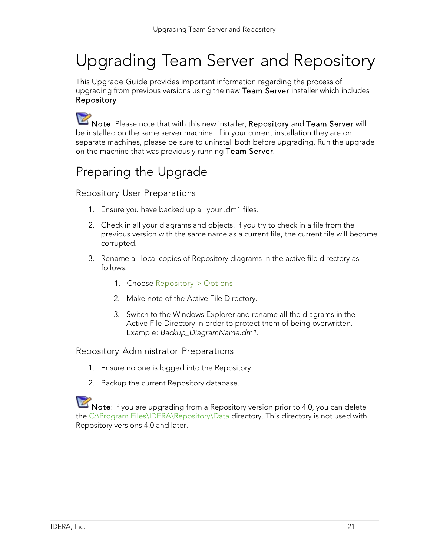# Upgrading Team Server and Repository

This Upgrade Guide provides important information regarding the process of upgrading from previous versions using the new Team Server installer which includes Repository.

Note: Please note that with this new installer, Repository and Team Server will be installed on the same server machine. If in your current installation they are on separate machines, please be sure to uninstall both before upgrading. Run the upgrade on the machine that was previously running Team Server.

## Preparing the Upgrade

#### Repository User Preparations

- 1. Ensure you have backed up all your .dm1 files.
- 2. Check in all your diagrams and objects. If you try to check in a file from the previous version with the same name as a current file, the current file will become corrupted.
- 3. Rename all local copies of Repository diagrams in the active file directory as follows:
	- 1. Choose Repository > Options.
	- 2. Make note of the Active File Directory.
	- 3. Switch to the Windows Explorer and rename all the diagrams in the Active File Directory in order to protect them of being overwritten. Example: *Backup\_DiagramName.dm1*.

#### Repository Administrator Preparations

- 1. Ensure no one is logged into the Repository.
- 2. Backup the current Repository database.

 $\blacktriangle$  Note: If you are upgrading from a Repository version prior to 4.0, you can delete the C:\Program Files\IDERA\Repository\Data directory. This directory is not used with Repository versions 4.0 and later.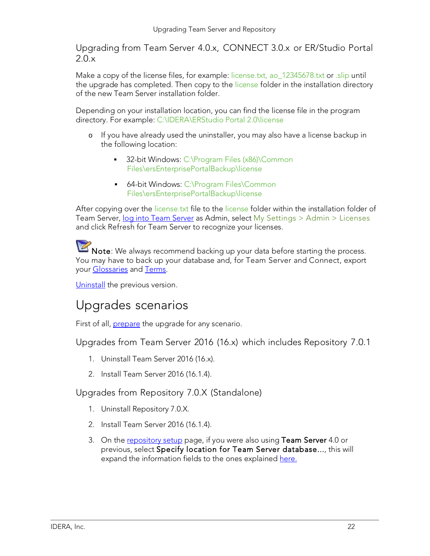Upgrading from Team Server 4.0.x, CONNECT 3.0.x or ER/Studio Portal 2.0.x

Make a copy of the license files, for example: license.txt, ao 12345678.txt or .slip until the upgrade has completed. Then copy to the license folder in the installation directory of the new Team Server installation folder.

Depending on your installation location, you can find the license file in the program directory. For example: C:\IDERA\ERStudio Portal 2.0\license

- o If you have already used the uninstaller, you may also have a license backup in the following location:
	- 32-bit Windows: C:\Program Files (x86)\Common Files\ersEnterprisePortalBackup\license
	- 64-bit Windows: C:\Program Files\Common Files\ersEnterprisePortalBackup\license

After copying over the license txt file to the license folder within the installation folder of Team Server, log into Team [Server](http://docwiki.embarcadero.com/TeamServer/ERStudio/2016/en/Connecting_to_Team_Server) as Admin, select My Settings > Admin > Licenses and click Refresh for Team Server to recognize your licenses.

Note: We always recommend backing up your data before starting the process. You may have to back up your database and, for Team Server and Connect, export your [Glossaries](http://docwiki.embarcadero.com/TeamServer/ERStudio/2016/en/Glossaries) and [Terms.](http://docwiki.embarcadero.com/TeamServer/ERStudio/2016/en/Terms)

[Uninstall](http://docwiki.embarcadero.com/TeamServer/ERStudio/2016/en/Uninstalling_ER/Studio_Team_Server) the previous version.

### Upgrades scenarios

First of all, **prepare** the upgrade for any scenario.

Upgrades from Team Server 2016 (16.x) which includes Repository 7.0.1

- 1. Uninstall Team Server 2016 (16.x).
- 2. Install Team Server 2016 (16.1.4).

#### Upgrades from Repository 7.0.X (Standalone)

- 1. Uninstall Repository 7.0.X.
- 2. Install Team Server 2016 (16.1.4).
- 3. On the [repository](http://docwiki.embarcadero.com/TeamServer/ERStudio/2016/en/Install_and_Configure_Team_Server_and_Repository#Repository_Setup) setup page, if you were also using Team Server 4.0 or previous, select Specify location for Team Server database..., this will expand the information fields to the ones explained here.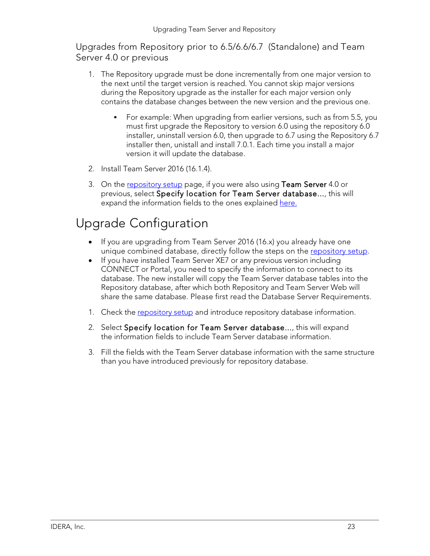Upgrades from Repository prior to 6.5/6.6/6.7 (Standalone) and Team Server 4.0 or previous

- 1. The Repository upgrade must be done incrementally from one major version to the next until the target version is reached. You cannot skip major versions during the Repository upgrade as the installer for each major version only contains the database changes between the new version and the previous one.
	- For example: When upgrading from earlier versions, such as from 5.5, you must first upgrade the Repository to version 6.0 using the repository 6.0 installer, uninstall version 6.0, then upgrade to 6.7 using the Repository 6.7 installer then, unistall and install 7.0.1. Each time you install a major version it will update the database.
- 2. Install Team Server 2016 (16.1.4).
- 3. On the [repository](http://docwiki.embarcadero.com/TeamServer/ERStudio/2016/en/Install_and_Configure_Team_Server_and_Repository#Repository_Setup) setup page, if you were also using Team Server 4.0 or previous, select Specify location for Team Server database..., this will expand the information fields to the ones explained here.

### Upgrade Configuration

- If you are upgrading from Team Server 2016 (16.x) you already have one unique combined database, directly follow the steps on the [repository](http://docwiki.embarcadero.com/TeamServer/ERStudio/2016/en/Install_and_Configure_Team_Server_and_Repository#Repository_Setup) setup.
- If you have installed Team Server XE7 or any previous version including CONNECT or Portal, you need to specify the information to connect to its database. The new installer will copy the Team Server database tables into the Repository database, after which both Repository and Team Server Web will share the same database. Please first read the Database Server Requirements.
- 1. Check the [repository](http://docwiki.embarcadero.com/TeamServer/ERStudio/2016/en/Install_and_Configure_Team_Server_and_Repository#Repository_Setup) setup and introduce repository database information.
- 2. Select Specify location for Team Server database..., this will expand the information fields to include Team Server database information.
- 3. Fill the fields with the Team Server database information with the same structure than you have introduced previously for repository database.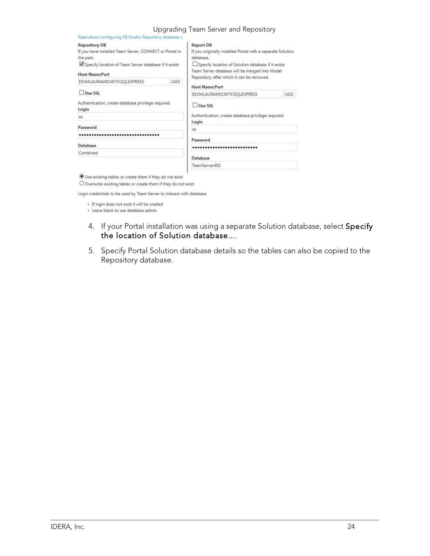#### Upgrading Team Server and Repository

| Read about configuring ER/Studio Repository database »                                                                                                                                                                                                                                                                                                                                                                               |      |
|--------------------------------------------------------------------------------------------------------------------------------------------------------------------------------------------------------------------------------------------------------------------------------------------------------------------------------------------------------------------------------------------------------------------------------------|------|
| <b>Report DB</b><br><b>Repository DB</b><br>If you have installed Team Server, CONNECT or Portal in<br>If you originally installed Portal with a separate Solution<br>database.<br>the past,<br>Specify location of Team Server database if it exists<br>Specify location of Solution database if it exists<br>Team Server database will be merged into Model<br><b>Host Name:Port</b><br>Repository, after which it can be removed. |      |
| 1433<br>ESVMLAURAM01W7X\SQLEXPRESS<br><b>Host Name:Port</b>                                                                                                                                                                                                                                                                                                                                                                          |      |
| Use SSL<br>ESVMLAURAM01W7X\SQLEXPRESS                                                                                                                                                                                                                                                                                                                                                                                                | 1433 |
| Authentication, create database privilege required<br>Use SSL<br>Login                                                                                                                                                                                                                                                                                                                                                               |      |
| Authentication, create database privilege required<br>sa                                                                                                                                                                                                                                                                                                                                                                             |      |
| Login<br>Password<br>sa                                                                                                                                                                                                                                                                                                                                                                                                              |      |
|                                                                                                                                                                                                                                                                                                                                                                                                                                      |      |
| Password<br>Database<br>                                                                                                                                                                                                                                                                                                                                                                                                             |      |
| Combined                                                                                                                                                                                                                                                                                                                                                                                                                             |      |
| <b>Database</b>                                                                                                                                                                                                                                                                                                                                                                                                                      |      |
| TeamServer403                                                                                                                                                                                                                                                                                                                                                                                                                        |      |

Use existing tables or create them if they do not exist

O Overwrite existing tables or create them if they do not exist

Login credentials to be used by Team Server to interact with database

· If login does not exist it will be created

· Leave blank to use database admin

- 4. If your Portal installation was using a separate Solution database, select Specify the location of Solution database....
- 5. Specify Portal Solution database details so the tables can also be copied to the Repository database.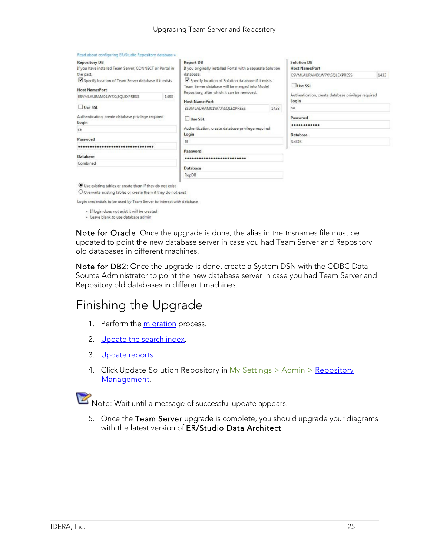| <b>Repository DB</b><br><b>Report DB</b><br>If you have installed Team Server, CONNECT or Portal in<br>If you originally installed Portal with a separate Solution<br>database.<br>the past.<br>Specify location of Solution database if it exists<br>Specify location of Team Server database if it exists<br>Team Server database will be merged into Model<br><b>Host Name:Port</b> |      |                                                                                                              | <b>Solution DB</b><br><b>Host Name:Port</b> |                                                             |      |
|----------------------------------------------------------------------------------------------------------------------------------------------------------------------------------------------------------------------------------------------------------------------------------------------------------------------------------------------------------------------------------------|------|--------------------------------------------------------------------------------------------------------------|---------------------------------------------|-------------------------------------------------------------|------|
|                                                                                                                                                                                                                                                                                                                                                                                        |      | Repository, after which it can be removed.                                                                   |                                             | ESVMLAURAM01W7X\SQLEXPRESS                                  | 1433 |
|                                                                                                                                                                                                                                                                                                                                                                                        |      |                                                                                                              |                                             | Use SSL                                                     |      |
| ESVMLAURAM01W7X\SQLEXPRESS                                                                                                                                                                                                                                                                                                                                                             | 1433 | <b>Host Name:Port</b>                                                                                        |                                             | Authentication, create database privilege required<br>Login |      |
| Use SSL                                                                                                                                                                                                                                                                                                                                                                                |      | ESVMLAURAM01W7X\SQLEXPRESS<br>1433<br>Use SSL<br>Authentication, create database privilege required<br>Login |                                             | sa                                                          |      |
| Authentication, create database privilege required<br>Login                                                                                                                                                                                                                                                                                                                            |      |                                                                                                              |                                             | Password<br>************<br><b>Database</b>                 |      |
| 5a                                                                                                                                                                                                                                                                                                                                                                                     |      |                                                                                                              |                                             |                                                             |      |
| Password                                                                                                                                                                                                                                                                                                                                                                               |      | 5a                                                                                                           |                                             | <b>SolDB</b>                                                |      |
|                                                                                                                                                                                                                                                                                                                                                                                        |      | Password                                                                                                     |                                             |                                                             |      |
| <b>Database</b>                                                                                                                                                                                                                                                                                                                                                                        |      |                                                                                                              |                                             |                                                             |      |
| Combined                                                                                                                                                                                                                                                                                                                                                                               |      | Database                                                                                                     |                                             |                                                             |      |
|                                                                                                                                                                                                                                                                                                                                                                                        |      | RepDB                                                                                                        |                                             |                                                             |      |
| Use existing tables or create them if they do not exist<br>O Overwrite eviting tables or create them if they do not evist.                                                                                                                                                                                                                                                             |      |                                                                                                              |                                             |                                                             |      |

Login credentials to be used by Team Server to interact with database

· If login does not exist it will be created

· Leave blank to use database admin

Note for Oracle: Once the upgrade is done, the alias in the tnsnames file must be updated to point the new database server in case you had Team Server and Repository old databases in different machines.

Note for DB2: Once the upgrade is done, create a System DSN with the ODBC Data Source Administrator to point the new database server in case you had Team Server and Repository old databases in different machines.

### Finishing the Upgrade

- 1. Perform the [migration](http://docwiki.embarcadero.com/TeamServer/ERStudio/2016/en/Install_and_Configure_Team_Server_and_Repository#Migration) process.
- 2. [Update](http://docwiki.embarcadero.com/TeamServer/ERStudio/2016/en/Updating_the_Search_Index) the search index.
- 3. [Update](http://docwiki.embarcadero.com/TeamServer/ERStudio/2016/en/Updating_Reports) reports.
- 4. Click Update Solution [Repository](http://docwiki.embarcadero.com/TeamServer/ERStudio/2016/en/Repository_Management) in My Settings > Admin > Repository [Management.](http://docwiki.embarcadero.com/TeamServer/ERStudio/2016/en/Repository_Management)



Note: Wait until a message of successful update appears.

5. Once the Team Server upgrade is complete, you should upgrade your diagrams with the latest version of **ER/Studio Data Architect**.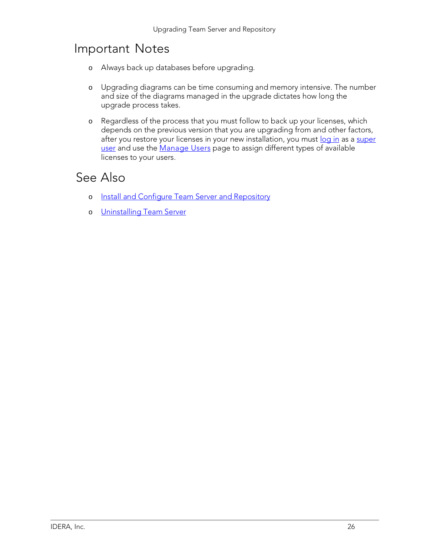### Important Notes

- o Always back up databases before upgrading.
- o Upgrading diagrams can be time consuming and memory intensive. The number and size of the diagrams managed in the upgrade dictates how long the upgrade process takes.
- o Regardless of the process that you must follow to back up your licenses, which depends on the previous version that you are upgrading from and other factors, after you restore your licenses in your new installation, you must [log in](http://docwiki.embarcadero.com/TeamServer/ERStudio/2016/en/Connecting_to_Team_Server) as a [super](http://docwiki.embarcadero.com/TeamServer/ERStudio/2016/en/Overview_of_User_Roles#Super_User) [user](http://docwiki.embarcadero.com/TeamServer/ERStudio/2016/en/Overview_of_User_Roles#Super_User) and use the [Manage](http://docwiki.embarcadero.com/TeamServer/ERStudio/2016/en/Manage_Users) Users page to assign different types of available licenses to your users.

- o Install and Configure Team Server and [Repository](http://docwiki.embarcadero.com/TeamServer/ERStudio/2016/en/Install_and_Configure_Team_Server_and_Repository)
- o [Uninstalling](http://docwiki.embarcadero.com/TeamServer/ERStudio/2016/en/Uninstalling_Team_Server) Team Server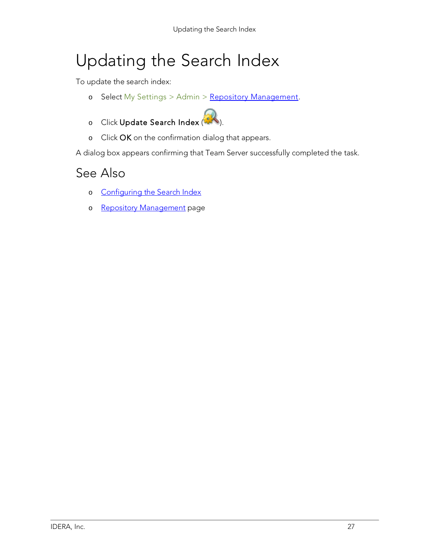# Updating the Search Index

To update the search index:

- o Select My Settings > Admin > Repository [Management.](http://docwiki.embarcadero.com/TeamServer/ERStudio/2016/en/Repository_Management)
- o Click Update Search Index ( ).
- o Click OK on the confirmation dialog that appears.

A dialog box appears confirming that Team Server successfully completed the task.

- o [Configuring](http://docwiki.embarcadero.com/TeamServer/ERStudio/2016/en/Configuring_the_Search_Index) the Search Index
- o Repository [Management](http://docwiki.embarcadero.com/TeamServer/ERStudio/2016/en/Repository_Management) page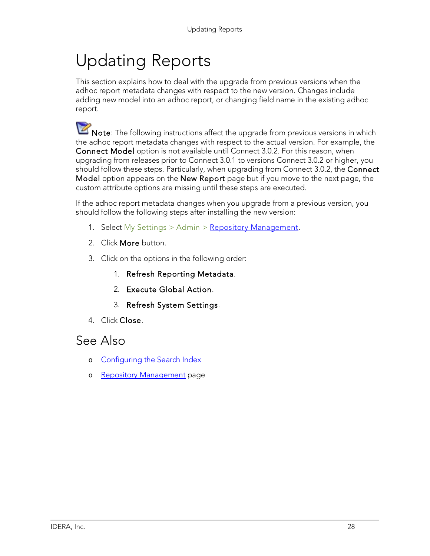# Updating Reports

This section explains how to deal with the upgrade from previous versions when the adhoc report metadata changes with respect to the new version. Changes include adding new model into an adhoc report, or changing field name in the existing adhoc report.

Note: The following instructions affect the upgrade from previous versions in which the adhoc report metadata changes with respect to the actual version. For example, the Connect Model option is not available until Connect 3.0.2. For this reason, when upgrading from releases prior to Connect 3.0.1 to versions Connect 3.0.2 or higher, you should follow these steps. Particularly, when upgrading from Connect 3.0.2, the Connect Model option appears on the New Report page but if you move to the next page, the custom attribute options are missing until these steps are executed.

If the adhoc report metadata changes when you upgrade from a previous version, you should follow the following steps after installing the new version:

- 1. Select My Settings > Admin > Repository [Management.](http://docwiki.embarcadero.com/TeamServer/ERStudio/2016/en/Repository_Management)
- 2. Click More button.
- 3. Click on the options in the following order:
	- 1. Refresh Reporting Metadata.
	- 2. Execute Global Action.
	- 3. Refresh System Settings.
- 4. Click Close.

- o [Configuring](http://docwiki.embarcadero.com/TeamServer/ERStudio/2016/en/Configuring_the_Search_Index) the Search Index
- o Repository [Management](http://docwiki.embarcadero.com/TeamServer/ERStudio/2016/en/Repository_Management) page